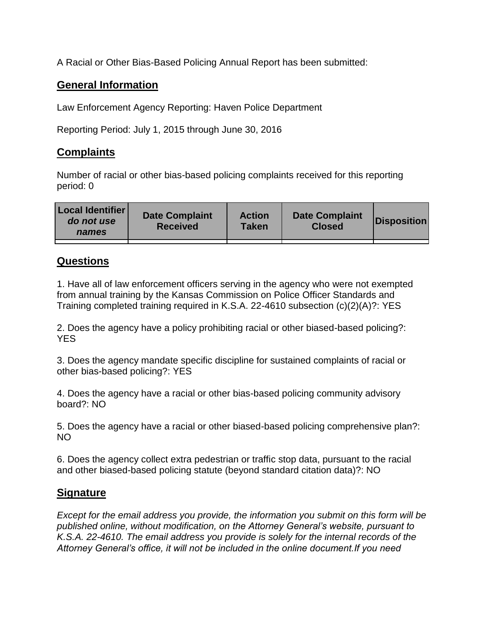A Racial or Other Bias-Based Policing Annual Report has been submitted:

## **General Information**

Law Enforcement Agency Reporting: Haven Police Department

Reporting Period: July 1, 2015 through June 30, 2016

## **Complaints**

Number of racial or other bias-based policing complaints received for this reporting period: 0

| <b>Local Identifier</b><br>do not use<br>names | <b>Date Complaint</b><br><b>Received</b> | <b>Action</b><br><b>Taken</b> | <b>Date Complaint</b><br><b>Closed</b> | Disposition |
|------------------------------------------------|------------------------------------------|-------------------------------|----------------------------------------|-------------|
|                                                |                                          |                               |                                        |             |

## **Questions**

1. Have all of law enforcement officers serving in the agency who were not exempted from annual training by the Kansas Commission on Police Officer Standards and Training completed training required in K.S.A. 22-4610 subsection (c)(2)(A)?: YES

2. Does the agency have a policy prohibiting racial or other biased-based policing?: YES

3. Does the agency mandate specific discipline for sustained complaints of racial or other bias-based policing?: YES

4. Does the agency have a racial or other bias-based policing community advisory board?: NO

5. Does the agency have a racial or other biased-based policing comprehensive plan?: NO

6. Does the agency collect extra pedestrian or traffic stop data, pursuant to the racial and other biased-based policing statute (beyond standard citation data)?: NO

## **Signature**

*Except for the email address you provide, the information you submit on this form will be published online, without modification, on the Attorney General's website, pursuant to K.S.A. 22-4610. The email address you provide is solely for the internal records of the Attorney General's office, it will not be included in the online document.If you need*